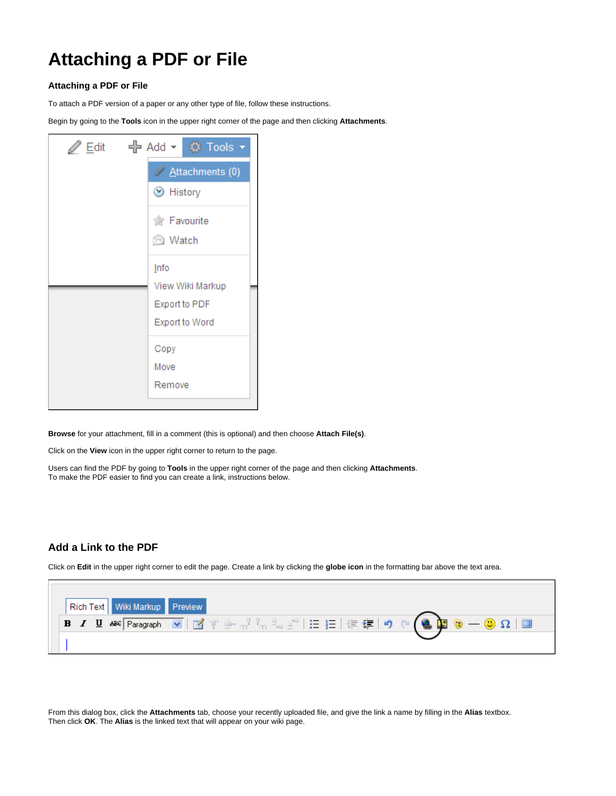## **Attaching a PDF or File**

## **Attaching a PDF or File**

To attach a PDF version of a paper or any other type of file, follow these instructions.

Begin by going to the **Tools** icon in the upper right corner of the page and then clicking **Attachments**.

| Z Edit c H Add v © Tools v |
|----------------------------|
| Attachments (0)            |
| $\odot$ History            |
| <b>愈 Favourite</b>         |
| ⊠ Watch                    |
| Info                       |
| View Wiki Markup           |
| Export to PDF              |
| Export to Word             |
| Copy                       |
| Move                       |
| Remove                     |
|                            |

**Browse** for your attachment, fill in a comment (this is optional) and then choose **Attach File(s)**.

Click on the **View** icon in the upper right corner to return to the page.

Users can find the PDF by going to **Tools** in the upper right corner of the page and then clicking **Attachments**. To make the PDF easier to find you can create a link, instructions below.

## **Add a Link to the PDF**

Click on **Edit** in the upper right corner to edit the page. Create a link by clicking the **globe icon** in the formatting bar above the text area.

|  | Rich Text   Wiki Markup   Preview |                                                                                                                                                                                                                                                                                                                                                                                                                                         |
|--|-----------------------------------|-----------------------------------------------------------------------------------------------------------------------------------------------------------------------------------------------------------------------------------------------------------------------------------------------------------------------------------------------------------------------------------------------------------------------------------------|
|  |                                   | <b>B</b> $I$ U ABC Paragraph $\vee$   $\mathbb{E}$ $\Psi \Rightarrow \pi^{\mathbb{P}} \xrightarrow{\pi} \mathbb{E}$ $\exists \in \mathbb{E}$ $\mathbb{E}$ $\Psi \Rightarrow \mathbb{E}$   $\mathbb{E}$ $\Psi$   $\Rightarrow$ $\mathbb{E}$   $\Psi \Rightarrow \mathbb{E}$   $\Psi \Rightarrow \mathbb{E}$   $\Psi \Rightarrow \mathbb{E}$   $\Psi \Rightarrow \mathbb{E}$   $\Psi \Rightarrow \mathbb{E}$   $\Psi \Rightarrow \mathbb$ |
|  |                                   |                                                                                                                                                                                                                                                                                                                                                                                                                                         |

From this dialog box, click the **Attachments** tab, choose your recently uploaded file, and give the link a name by filling in the **Alias** textbox. Then click **OK**. The **Alias** is the linked text that will appear on your wiki page.